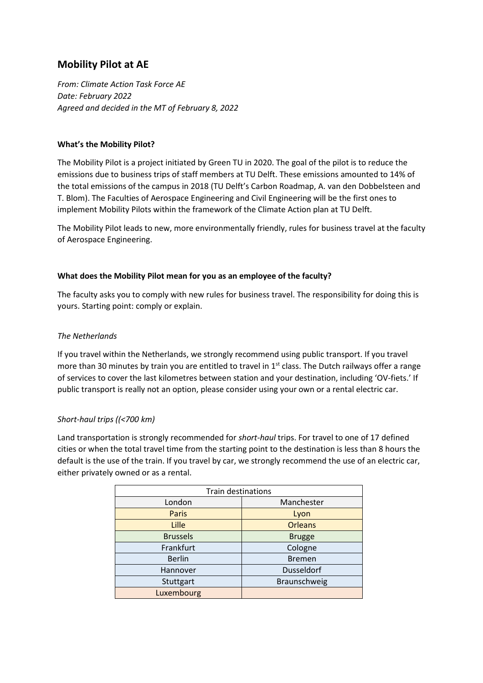# **Mobility Pilot at AE**

*From: Climate Action Task Force AE Date: February 2022 Agreed and decided in the MT of February 8, 2022* 

### **What's the Mobility Pilot?**

The Mobility Pilot is a project initiated by Green TU in 2020. The goal of the pilot is to reduce the emissions due to business trips of staff members at TU Delft. These emissions amounted to 14% of the total emissions of the campus in 2018 (TU Delft's Carbon Roadmap, A. van den Dobbelsteen and T. Blom). The Faculties of Aerospace Engineering and Civil Engineering will be the first ones to implement Mobility Pilots within the framework of the Climate Action plan at TU Delft.

The Mobility Pilot leads to new, more environmentally friendly, rules for business travel at the faculty of Aerospace Engineering.

#### **What does the Mobility Pilot mean for you as an employee of the faculty?**

The faculty asks you to comply with new rules for business travel. The responsibility for doing this is yours. Starting point: comply or explain.

#### *The Netherlands*

If you travel within the Netherlands, we strongly recommend using public transport. If you travel more than 30 minutes by train you are entitled to travel in  $1<sup>st</sup>$  class. The Dutch railways offer a range of services to cover the last kilometres between station and your destination, including 'OV-fiets.' If public transport is really not an option, please consider using your own or a rental electric car.

# *Short-haul trips ((<700 km)*

Land transportation is strongly recommended for *short-haul* trips. For travel to one of 17 defined cities or when the total travel time from the starting point to the destination is less than 8 hours the default is the use of the train. If you travel by car, we strongly recommend the use of an electric car, either privately owned or as a rental.

| <b>Train destinations</b> |                |  |  |  |  |
|---------------------------|----------------|--|--|--|--|
| London                    | Manchester     |  |  |  |  |
| <b>Paris</b>              | Lyon           |  |  |  |  |
| Lille                     | <b>Orleans</b> |  |  |  |  |
| <b>Brussels</b>           | <b>Brugge</b>  |  |  |  |  |
| Frankfurt                 | Cologne        |  |  |  |  |
| <b>Berlin</b>             | <b>Bremen</b>  |  |  |  |  |
| Hannover                  | Dusseldorf     |  |  |  |  |
| Stuttgart                 | Braunschweig   |  |  |  |  |
| Luxembourg                |                |  |  |  |  |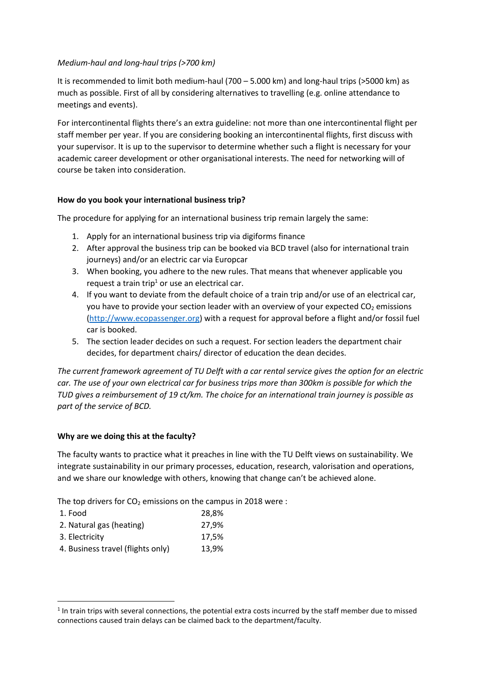### *Medium-haul and long-haul trips (>700 km)*

It is recommended to limit both medium-haul (700 – 5.000 km) and long-haul trips (>5000 km) as much as possible. First of all by considering alternatives to travelling (e.g. online attendance to meetings and events).

For intercontinental flights there's an extra guideline: not more than one intercontinental flight per staff member per year. If you are considering booking an intercontinental flights, first discuss with your supervisor. It is up to the supervisor to determine whether such a flight is necessary for your academic career development or other organisational interests. The need for networking will of course be taken into consideration.

#### **How do you book your international business trip?**

The procedure for applying for an international business trip remain largely the same:

- 1. Apply for an international business trip via digiforms finance
- 2. After approval the business trip can be booked via BCD travel (also for international train journeys) and/or an electric car via Europcar
- 3. When booking, you adhere to the new rules. That means that whenever applicable you request a train trip<sup>1</sup> or use an electrical car.
- 4. If you want to deviate from the default choice of a train trip and/or use of an electrical car, you have to provide your section leader with an overview of your expected  $CO<sub>2</sub>$  emissions (http://www.ecopassenger.org) with a request for approval before a flight and/or fossil fuel car is booked.
- 5. The section leader decides on such a request. For section leaders the department chair decides, for department chairs/ director of education the dean decides.

*The current framework agreement of TU Delft with a car rental service gives the option for an electric car. The use of your own electrical car for business trips more than 300km is possible for which the TUD gives a reimbursement of 19 ct/km. The choice for an international train journey is possible as part of the service of BCD.* 

# **Why are we doing this at the faculty?**

The faculty wants to practice what it preaches in line with the TU Delft views on sustainability. We integrate sustainability in our primary processes, education, research, valorisation and operations, and we share our knowledge with others, knowing that change can't be achieved alone.

The top drivers for  $CO<sub>2</sub>$  emissions on the campus in 2018 were :

| 1. Food                           | 28,8% |
|-----------------------------------|-------|
| 2. Natural gas (heating)          | 27,9% |
| 3. Electricity                    | 17,5% |
| 4. Business travel (flights only) | 13.9% |
|                                   |       |

l

<sup>&</sup>lt;sup>1</sup> In train trips with several connections, the potential extra costs incurred by the staff member due to missed connections caused train delays can be claimed back to the department/faculty.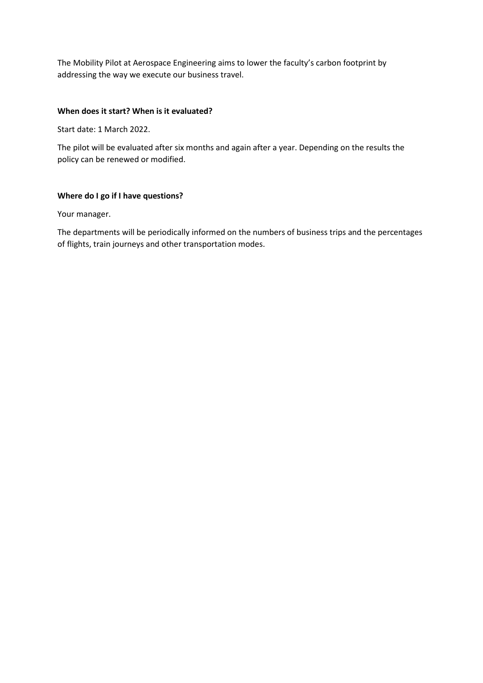The Mobility Pilot at Aerospace Engineering aims to lower the faculty's carbon footprint by addressing the way we execute our business travel.

#### **When does it start? When is it evaluated?**

Start date: 1 March 2022.

The pilot will be evaluated after six months and again after a year. Depending on the results the policy can be renewed or modified.

#### **Where do I go if I have questions?**

Your manager.

The departments will be periodically informed on the numbers of business trips and the percentages of flights, train journeys and other transportation modes.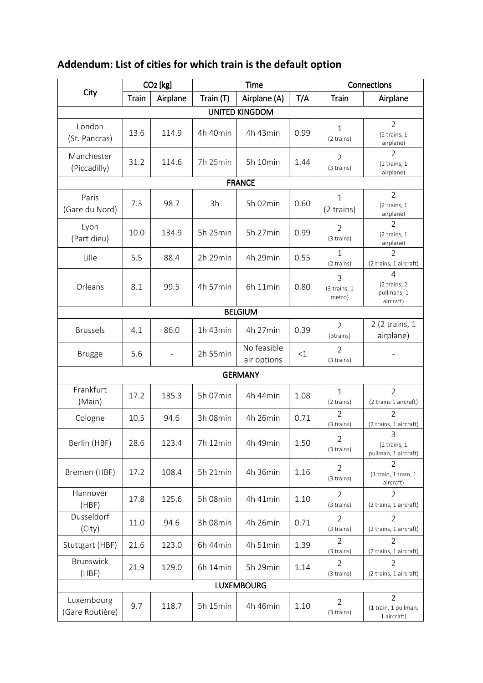# **Addendum: List of cities for which train is the default option**

|                               | CO <sub>2</sub> [kg] |                          | Time      |                            |      | Connections                  |                                                            |  |  |
|-------------------------------|----------------------|--------------------------|-----------|----------------------------|------|------------------------------|------------------------------------------------------------|--|--|
| City                          | <b>Train</b>         | Airplane                 | Train (T) | Airplane (A)               | T/A  | <b>Train</b>                 | Airplane                                                   |  |  |
| <b>UNITED KINGDOM</b>         |                      |                          |           |                            |      |                              |                                                            |  |  |
| London<br>(St. Pancras)       | 13.6                 | 114.9                    | 4h 40min  | 4h 43min                   | 0.99 | $\mathbf{1}$<br>(2 trains)   | $\overline{2}$<br>(2 trains, 1<br>airplane)                |  |  |
| Manchester<br>(Piccadilly)    | 31.2                 | 114.6                    | 7h 25min  | 5h 10min                   | 1.44 | $\overline{2}$<br>(3 trains) | 2<br>(2 trains, 1<br>airplane)                             |  |  |
| <b>FRANCE</b>                 |                      |                          |           |                            |      |                              |                                                            |  |  |
| Paris<br>(Gare du Nord)       | 7.3                  | 98.7                     | 3h        | 5h 02min                   | 0.60 | $\mathbf{1}$<br>(2 trains)   | $\overline{2}$<br>$(2 \text{ trains}, 1)$<br>airplane)     |  |  |
| Lyon<br>(Part dieu)           | 10.0                 | 134.9                    | 5h 25min  | 5h 27min                   | 0.99 | $\overline{2}$<br>(3 trains) | $\overline{2}$<br>$(2 \text{ trains}, 1)$<br>airplane)     |  |  |
| Lille                         | 5.5                  | 88.4                     | 2h 29min  | 4h 29min                   | 0.55 | 1<br>(2 trains)              | $\overline{2}$<br>(2 trains, 1 aircraft)                   |  |  |
| Orleans                       | 8.1                  | 99.5                     | 4h 57min  | 6h 11min                   | 0.80 | 3<br>(3 trains, 1<br>metro)  | $\overline{4}$<br>(2 trains, 2<br>pullmans, 1<br>aircraft) |  |  |
|                               |                      |                          |           | <b>BELGIUM</b>             |      |                              |                                                            |  |  |
| <b>Brussels</b>               | 4.1                  | 86.0                     | 1h 43min  | 4h 27min                   | 0.39 | $\overline{2}$<br>(3trains)  | 2 (2 trains, 1<br>airplane)                                |  |  |
| <b>Brugge</b>                 | 5.6                  | $\overline{\phantom{a}}$ | 2h 55min  | No feasible<br>air options | <1   | 2<br>(3 trains)              | $\overline{\phantom{0}}$                                   |  |  |
| <b>GERMANY</b>                |                      |                          |           |                            |      |                              |                                                            |  |  |
| Frankfurt<br>(Main)           | 17.2                 | 135.3                    | 5h 07min  | 4h 44min                   | 1.08 | $\mathbf{1}$<br>(2 trains)   | $\overline{2}$<br>(2 trains 1 aircraft)                    |  |  |
| Cologne                       | 10.5                 | 94.6                     | 3h 08min  | 4h 26min                   | 0.71 | $\overline{2}$<br>(3 trains) | $\mathcal{P}$<br>(2 trains, 1 aircraft)                    |  |  |
| Berlin (HBF)                  | 28.6                 | 123.4                    | 7h 12min  | 4h 49min                   | 1.50 | $\overline{2}$<br>(3 trains) | 3<br>$(2 \text{ trains}, 1)$<br>pullman, 1 aircraft)       |  |  |
| Bremen (HBF)                  | 17.2                 | 108.4                    | 5h 21min  | 4h 36min                   | 1.16 | $\overline{2}$<br>(3 trains) | $\overline{2}$<br>(1 train, 1 train, 1<br>aircraft)        |  |  |
| Hannover<br>(HBF)             | 17.8                 | 125.6                    | 5h 08min  | 4h 41min                   | 1.10 | $\overline{2}$<br>(3 trains) | $\overline{2}$<br>(2 trains, 1 aircraft)                   |  |  |
| Dusseldorf<br>(City)          | 11.0                 | 94.6                     | 3h 08min  | 4h 26min                   | 0.71 | 2<br>(3 trains)              | 2<br>(2 trains, 1 aircraft)                                |  |  |
| Stuttgart (HBF)               | 21.6                 | 123.0                    | 6h 44min  | 4h 51min                   | 1.39 | $\overline{2}$<br>(3 trains) | $\overline{2}$<br>(2 trains, 1 aircraft)                   |  |  |
| Brunswick<br>(HBF)            | 21.9                 | 129.0                    | 6h 14min  | 5h 29min                   | 1.14 | 2<br>(3 trains)              | $\overline{2}$<br>(2 trains, 1 aircraft)                   |  |  |
| <b>LUXEMBOURG</b>             |                      |                          |           |                            |      |                              |                                                            |  |  |
| Luxembourg<br>(Gare Routière) | 9.7                  | 118.7                    | 5h 15min  | 4h 46min                   | 1.10 | 2<br>(3 trains)              | $\overline{2}$<br>(1 train, 1 pullman,<br>1 aircraft)      |  |  |